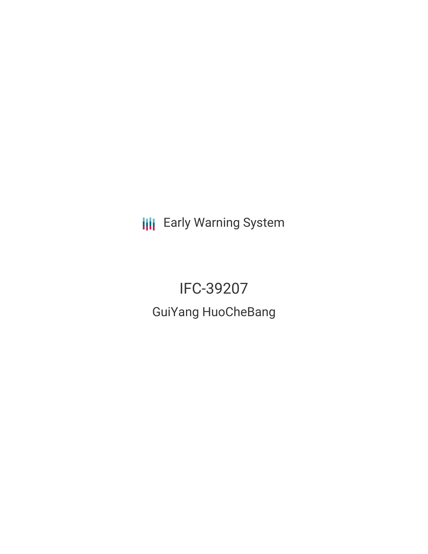**III** Early Warning System

IFC-39207 GuiYang HuoCheBang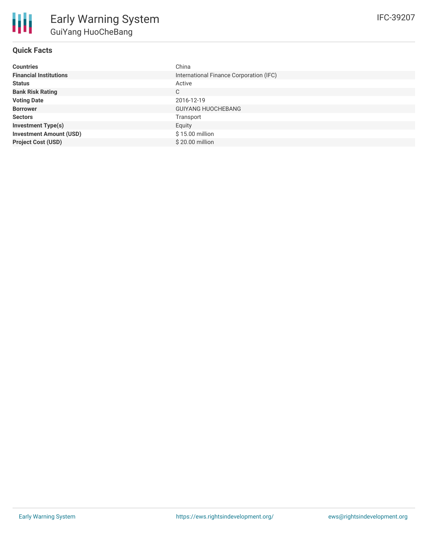## **Quick Facts**

| <b>Countries</b>               | China                                   |
|--------------------------------|-----------------------------------------|
| <b>Financial Institutions</b>  | International Finance Corporation (IFC) |
| <b>Status</b>                  | Active                                  |
| <b>Bank Risk Rating</b>        | C                                       |
| <b>Voting Date</b>             | 2016-12-19                              |
| <b>Borrower</b>                | <b>GUIYANG HUOCHEBANG</b>               |
| <b>Sectors</b>                 | Transport                               |
| <b>Investment Type(s)</b>      | Equity                                  |
| <b>Investment Amount (USD)</b> | $$15.00$ million                        |
| <b>Project Cost (USD)</b>      | $$20.00$ million                        |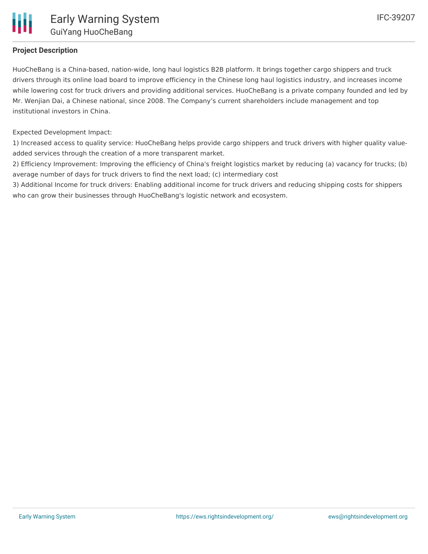## **Project Description**

HuoCheBang is a China-based, nation-wide, long haul logistics B2B platform. It brings together cargo shippers and truck drivers through its online load board to improve efficiency in the Chinese long haul logistics industry, and increases income while lowering cost for truck drivers and providing additional services. HuoCheBang is a private company founded and led by Mr. Wenjian Dai, a Chinese national, since 2008. The Company's current shareholders include management and top institutional investors in China.

Expected Development Impact:

1) Increased access to quality service: HuoCheBang helps provide cargo shippers and truck drivers with higher quality valueadded services through the creation of a more transparent market.

2) Efficiency Improvement: Improving the efficiency of China's freight logistics market by reducing (a) vacancy for trucks; (b) average number of days for truck drivers to find the next load; (c) intermediary cost

3) Additional Income for truck drivers: Enabling additional income for truck drivers and reducing shipping costs for shippers who can grow their businesses through HuoCheBang's logistic network and ecosystem.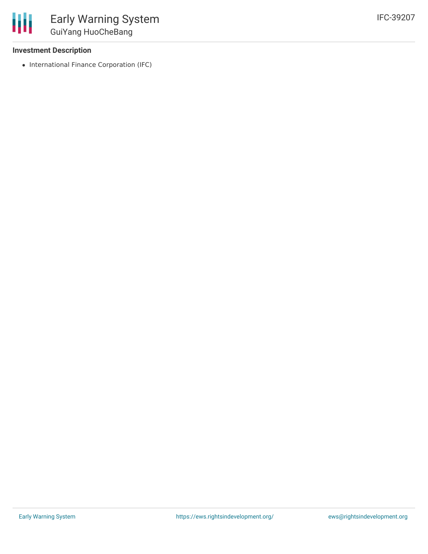## **Investment Description**

冊

• International Finance Corporation (IFC)